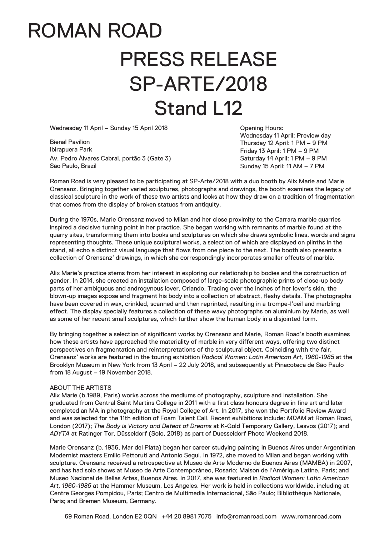## ROMAN ROAD PRESS RELEASE SP-ARTE/2018 Stand L12

Wednesday 11 April – Sunday 15 April 2018

Bienal Pavilion Ibirapuera Park Av. Pedro Álvares Cabral, portão 3 (Gate 3) São Paulo, Brazil

Opening Hours: Wednesday 11 April: Preview day Thursday 12 April: 1 PM – 9 PM Friday 13 April: 1 PM – 9 PM Saturday 14 April: 1 PM – 9 PM Sunday 15 April: 11 AM – 7 PM

Roman Road is very pleased to be participating at SP-Arte/2018 with a duo booth by Alix Marie and Marie Orensanz. Bringing together varied sculptures, photographs and drawings, the booth examines the legacy of classical sculpture in the work of these two artists and looks at how they draw on a tradition of fragmentation that comes from the display of broken statues from antiquity.

During the 1970s, Marie Orensanz moved to Milan and her close proximity to the Carrara marble quarries inspired a decisive turning point in her practice. She began working with remnants of marble found at the quarry sites, transforming them into books and sculptures on which she draws symbolic lines, words and signs representing thoughts. These unique sculptural works, a selection of which are displayed on plinths in the stand, all echo a distinct visual language that flows from one piece to the next. The booth also presents a collection of Orensanz' drawings, in which she correspondingly incorporates smaller offcuts of marble.

Alix Marie's practice stems from her interest in exploring our relationship to bodies and the construction of gender. In 2014, she created an installation composed of large-scale photographic prints of close-up body parts of her ambiguous and androgynous lover, Orlando. Tracing over the inches of her lover's skin, the blown-up images expose and fragment his body into a collection of abstract, fleshy details. The photographs have been covered in wax, crinkled, scanned and then reprinted, resulting in a trompe-l'oeil and marbling effect. The display specially features a collection of these waxy photographs on aluminium by Marie, as well as some of her recent small sculptures, which further show the human body in a disjointed form.

By bringing together a selection of significant works by Orensanz and Marie, Roman Road's booth examines how these artists have approached the materiality of marble in very different ways, offering two distinct perspectives on fragmentation and reinterpretations of the sculptural object. Coinciding with the fair, Orensanz' works are featured in the touring exhibition *Radical Women: Latin American Art, 1960-1985* at the Brooklyn Museum in New York from 13 April – 22 July 2018, and subsequently at Pinacoteca de São Paulo from 18 August – 19 November 2018.

## ABOUT THE ARTISTS

Alix Marie (b.1989, Paris) works across the mediums of photography, sculpture and installation. She graduated from Central Saint Martins College in 2011 with a first class honours degree in fine art and later completed an MA in photography at the Royal College of Art. In 2017, she won the Portfolio Review Award and was selected for the 11th edition of Foam Talent Call. Recent exhibitions include: *MDAM* at Roman Road, London (2017); *The Body is Victory and Defeat of Dreams* at K-Gold Temporary Gallery, Lesvos (2017); and *ADYTA* at Ratinger Tor, Düsseldorf (Solo, 2018) as part of Duesseldorf Photo Weekend 2018.

Marie Orensanz (b. 1936, Mar del Plata) began her career studying painting in Buenos Aires under Argentinian Modernist masters Emilio Pettoruti and Antonio Segui. In 1972, she moved to Milan and began working with sculpture. Orensanz received a retrospective at Museo de Arte Moderno de Buenos Aires (MAMBA) in 2007, and has had solo shows at Museo de Arte Contemporáneo, Rosario; Maison de l'Amérique Latine, Paris; and Museo Nacional de Bellas Artes, Buenos Aires. In 2017, she was featured in *Radical Women: Latin American Art, 1960-1985* at the Hammer Museum, Los Angeles. Her work is held in collections worldwide, including at Centre Georges Pompidou, Paris; Centro de Multimedia Internacional, São Paulo; Bibliothèque Nationale, Paris; and Bremen Museum, Germany.